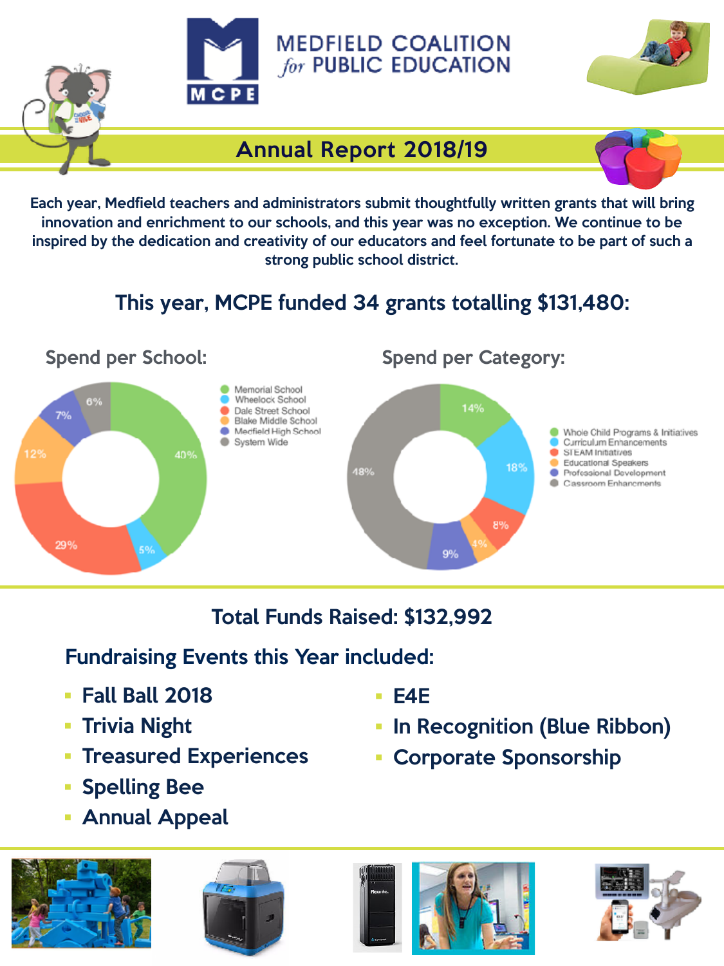



## Annual Report 2018/19

Each year, Medfield teachers and administrators submit thoughtfully written grants that will bring innovation and enrichment to our schools, and this year was no exception. We continue to be inspired by the dedication and creativity of our educators and feel fortunate to be part of such a strong public school district.

# This year, MCPE funded 34 grants totalling \$131,480:



## Total Funds Raised: \$132,992

### Fundraising Events this Year included:

- Fall Ball 2018
- Trivia Night
- **Treasured Experiences**
- Spelling Bee
- Annual Appeal









- E4E
	-
- In Recognition (Blue Ribbon)
- Corporate Sponsorship